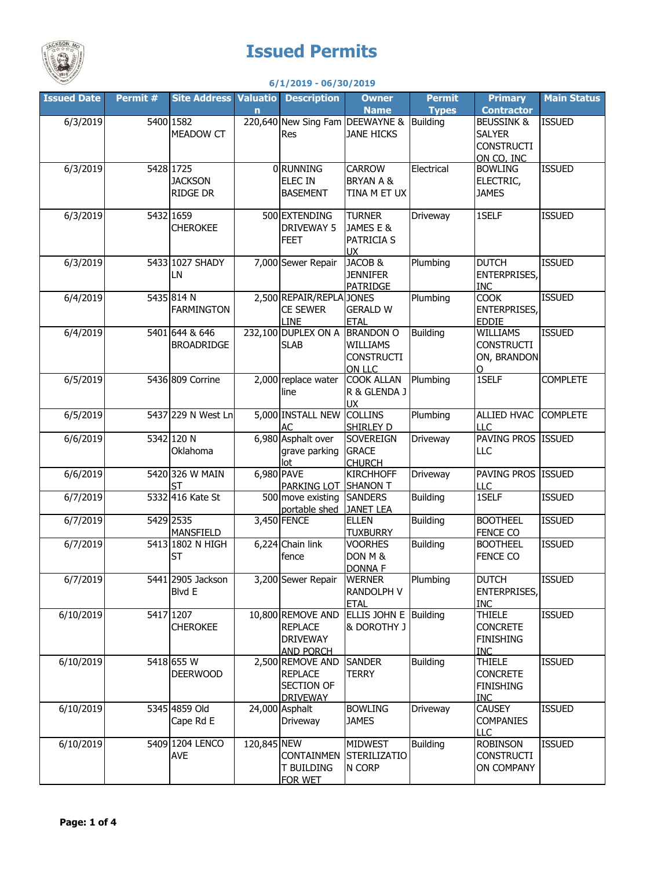

## **Issued Permits**

## **6/1/2019 - 06/30/2019**

| <b>Issued Date</b> | Permit # | <b>Site Address Valuatio Description</b> |             |                                                                            | <b>Owner</b><br><b>Name</b>                                 | <b>Permit</b><br><b>Types</b> | <b>Primary</b><br><b>Contractor</b>                                | <b>Main Status</b> |
|--------------------|----------|------------------------------------------|-------------|----------------------------------------------------------------------------|-------------------------------------------------------------|-------------------------------|--------------------------------------------------------------------|--------------------|
| 6/3/2019           |          | 5400 1582<br><b>MEADOW CT</b>            | n           | 220,640 New Sing Fam DEEWAYNE & Building<br><b>Res</b>                     | <b>JANE HICKS</b>                                           |                               | <b>BEUSSINK &amp;</b><br><b>SALYER</b><br><b>CONSTRUCTI</b>        | <b>ISSUED</b>      |
| 6/3/2019           |          | 5428 1725<br><b>JACKSON</b><br>RIDGE DR  |             | 0 RUNNING<br><b>ELEC IN</b><br><b>BASEMENT</b>                             | <b>CARROW</b><br><b>BRYAN A &amp;</b><br>TINA M ET UX       | Electrical                    | ON CO, INC<br><b>BOWLING</b><br>ELECTRIC,<br><b>JAMES</b>          | <b>ISSUED</b>      |
| 6/3/2019           |          | 5432 1659<br><b>CHEROKEE</b>             |             | 500 EXTENDING<br>DRIVEWAY 5<br><b>FEET</b>                                 | <b>TURNER</b><br>JAMES E &<br>PATRICIA S<br><b>UX</b>       | Driveway                      | 1SELF                                                              | <b>ISSUED</b>      |
| 6/3/2019           |          | 5433 1027 SHADY<br>LN                    |             | 7,000 Sewer Repair                                                         | JACOB &<br><b>JENNIFER</b><br><b>PATRIDGE</b>               | Plumbing                      | <b>DUTCH</b><br><b>ENTERPRISES,</b><br>INC                         | <b>ISSUED</b>      |
| 6/4/2019           |          | 5435 814 N<br><b>FARMINGTON</b>          |             | 2,500 REPAIR/REPLA JONES<br><b>CE SEWER</b><br><b>LINE</b>                 | <b>GERALD W</b><br><b>ETAL</b>                              | Plumbing                      | <b>COOK</b><br><b>ENTERPRISES,</b><br><b>EDDIE</b>                 | <b>ISSUED</b>      |
| 6/4/2019           |          | 5401 644 & 646<br><b>BROADRIDGE</b>      |             | 232,100 DUPLEX ON A<br><b>SLAB</b>                                         | <b>BRANDON O</b><br>WILLIAMS<br><b>CONSTRUCTI</b><br>ON LLC | <b>Building</b>               | WILLIAMS<br><b>CONSTRUCTI</b><br>ON, BRANDON<br>$\Omega$           | <b>ISSUED</b>      |
| 6/5/2019           |          | 5436 809 Corrine                         |             | 2,000 replace water<br>line                                                | <b>COOK ALLAN</b><br>R & GLENDA J<br><b>UX</b>              | Plumbing                      | 1SELF                                                              | <b>COMPLETE</b>    |
| 6/5/2019           |          | 5437 229 N West Ln                       |             | 5,000 INSTALL NEW<br>AC                                                    | <b>COLLINS</b><br>SHIRLEY D                                 | Plumbing                      | ALLIED HVAC<br>LLC                                                 | <b>COMPLETE</b>    |
| 6/6/2019           |          | 5342 120 N<br>Oklahoma                   |             | 6,980 Asphalt over<br>grave parking<br>lot                                 | <b>SOVEREIGN</b><br><b>GRACE</b><br><b>CHURCH</b>           | Driveway                      | PAVING PROS ISSUED<br>LLC                                          |                    |
| 6/6/2019           |          | 5420 326 W MAIN<br>ST                    | 6,980 PAVE  | PARKING LOT                                                                | <b>KIRCHHOFF</b><br><b>SHANON T</b>                         | Driveway                      | PAVING PROS ISSUED<br>LLC                                          |                    |
| 6/7/2019           |          | 5332 416 Kate St                         |             | 500 move existing<br>portable shed                                         | <b>SANDERS</b><br><b>JANET LEA</b>                          | <b>Building</b>               | 1SELF                                                              | <b>ISSUED</b>      |
| 6/7/2019           |          | 5429 2535<br><b>MANSFIELD</b>            |             | 3,450 FENCE                                                                | <b>ELLEN</b><br><b>TUXBURRY</b>                             | <b>Building</b>               | <b>BOOTHEEL</b><br>FENCE CO                                        | <b>ISSUED</b>      |
| 6/7/2019           |          | 5413 1802 N HIGH<br><b>ST</b>            |             | 6,224 Chain link<br>fence                                                  | <b>VOORHES</b><br>DON M &<br><b>DONNA F</b>                 | <b>Building</b>               | <b>BOOTHEEL</b><br>FENCE CO                                        | <b>ISSUED</b>      |
| 6/7/2019           |          | 5441 2905 Jackson<br>Blvd E              |             | 3,200 Sewer Repair                                                         | <b>WERNER</b><br><b>RANDOLPH V</b><br><b>ETAL</b>           | Plumbing                      | <b>DUTCH</b><br>ENTERPRISES,<br>INC                                | <b>ISSUED</b>      |
| 6/10/2019          |          | 5417 1207<br><b>CHEROKEE</b>             |             | 10,800 REMOVE AND<br><b>REPLACE</b><br><b>DRIVEWAY</b><br><b>AND PORCH</b> | ELLIS JOHN E Building<br>& DOROTHY J                        |                               | <b>THIELE</b><br><b>CONCRETE</b><br><b>FINISHING</b><br><b>INC</b> | <b>ISSUED</b>      |
| 6/10/2019          |          | 5418 655 W<br><b>DEERWOOD</b>            |             | 2,500 REMOVE AND<br><b>REPLACE</b><br><b>SECTION OF</b><br><b>DRIVEWAY</b> | <b>SANDER</b><br><b>TERRY</b>                               | <b>Building</b>               | <b>THIELE</b><br><b>CONCRETE</b><br><b>FINISHING</b><br><b>INC</b> | <b>ISSUED</b>      |
| 6/10/2019          |          | 5345 4859 Old<br>Cape Rd E               |             | 24,000 Asphalt<br>Driveway                                                 | <b>BOWLING</b><br><b>JAMES</b>                              | Driveway                      | <b>CAUSEY</b><br><b>COMPANIES</b><br><b>LLC</b>                    | <b>ISSUED</b>      |
| 6/10/2019          |          | 5409 1204 LENCO<br><b>AVE</b>            | 120,845 NEW | <b>CONTAINMEN</b><br><b>T BUILDING</b><br><b>FOR WET</b>                   | <b>MIDWEST</b><br><b>STERILIZATIO</b><br>N CORP             | <b>Building</b>               | <b>ROBINSON</b><br><b>CONSTRUCTI</b><br>ON COMPANY                 | <b>ISSUED</b>      |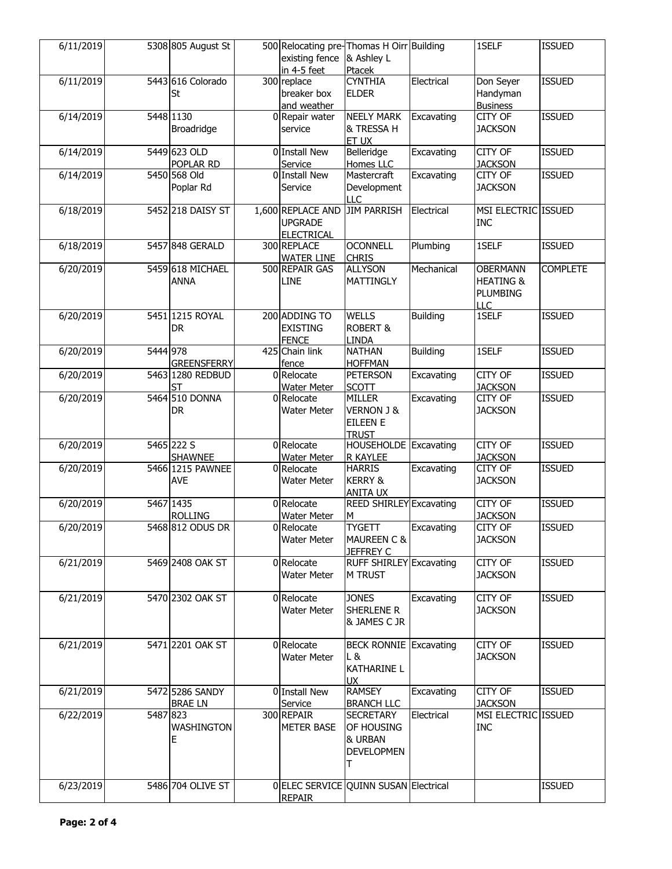| 6/11/2019 |          | 5308 805 August St | 500 Relocating pre-Thomas H Oirr Building<br>existing fence | & Ashley L                                        |                 | 1SELF                | <b>ISSUED</b>   |
|-----------|----------|--------------------|-------------------------------------------------------------|---------------------------------------------------|-----------------|----------------------|-----------------|
|           |          |                    | in 4-5 feet                                                 | Ptacek                                            |                 |                      |                 |
| 6/11/2019 |          | 5443 616 Colorado  | 300 replace                                                 | <b>CYNTHIA</b>                                    | Electrical      | Don Seyer            | <b>ISSUED</b>   |
|           |          | St                 | breaker box                                                 | <b>ELDER</b>                                      |                 | Handyman             |                 |
|           |          |                    | and weather                                                 |                                                   |                 | <b>Business</b>      |                 |
| 6/14/2019 |          | 5448 1130          | 0 Repair water                                              | <b>NEELY MARK</b>                                 | Excavating      | CITY OF              | <b>ISSUED</b>   |
|           |          | Broadridge         | service                                                     | & TRESSA H                                        |                 | <b>JACKSON</b>       |                 |
|           |          |                    |                                                             | ET UX                                             |                 |                      |                 |
| 6/14/2019 |          | 5449 623 OLD       | 0 Install New                                               | Belleridge                                        | Excavating      | CITY OF              | <b>ISSUED</b>   |
|           |          | POPLAR RD          | Service                                                     | Homes LLC                                         |                 | <b>JACKSON</b>       |                 |
| 6/14/2019 |          | 5450 568 Old       | 0 Install New                                               | Mastercraft                                       | Excavating      | CITY OF              | <b>ISSUED</b>   |
|           |          | Poplar Rd          | Service                                                     | Development                                       |                 | <b>JACKSON</b>       |                 |
|           |          | 5452 218 DAISY ST  | 1,600 REPLACE AND                                           | <b>LLC</b><br><b>JIM PARRISH</b>                  | Electrical      | MSI ELECTRIC ISSUED  |                 |
| 6/18/2019 |          |                    |                                                             |                                                   |                 |                      |                 |
|           |          |                    | <b>UPGRADE</b><br><b>ELECTRICAL</b>                         |                                                   |                 | <b>INC</b>           |                 |
| 6/18/2019 |          | 5457 848 GERALD    | 300 REPLACE                                                 | <b>OCONNELL</b>                                   | Plumbing        | 1SELF                | <b>ISSUED</b>   |
|           |          |                    | <b>WATER LINE</b>                                           | <b>CHRIS</b>                                      |                 |                      |                 |
| 6/20/2019 |          | 5459 618 MICHAEL   | 500 REPAIR GAS                                              | <b>ALLYSON</b>                                    | Mechanical      | <b>OBERMANN</b>      | <b>COMPLETE</b> |
|           |          | <b>ANNA</b>        | LINE                                                        | MATTINGLY                                         |                 | <b>HEATING &amp;</b> |                 |
|           |          |                    |                                                             |                                                   |                 | PLUMBING             |                 |
|           |          |                    |                                                             |                                                   |                 | LLC                  |                 |
| 6/20/2019 |          | 5451 1215 ROYAL    | 200 ADDING TO                                               | <b>WELLS</b>                                      | <b>Building</b> | 1SELF                | <b>ISSUED</b>   |
|           |          | DR                 | <b>EXISTING</b>                                             | <b>ROBERT &amp;</b>                               |                 |                      |                 |
|           |          |                    | <b>FENCE</b>                                                | <b>LINDA</b>                                      |                 |                      |                 |
| 6/20/2019 | 5444 978 |                    | 425 Chain link                                              | <b>NATHAN</b>                                     | <b>Building</b> | 1SELF                | <b>ISSUED</b>   |
|           |          | <b>GREENSFERRY</b> | fence                                                       | <b>HOFFMAN</b>                                    |                 |                      |                 |
| 6/20/2019 |          | 5463 1280 REDBUD   | 0 Relocate                                                  | <b>PETERSON</b>                                   | Excavating      | CITY OF              | <b>ISSUED</b>   |
|           |          | <b>ST</b>          | <b>Water Meter</b>                                          | <b>SCOTT</b>                                      |                 | <b>JACKSON</b>       |                 |
| 6/20/2019 |          | 5464 510 DONNA     | 0 Relocate                                                  | <b>MILLER</b>                                     | Excavating      | CITY OF              | <b>ISSUED</b>   |
|           |          | DR                 | Water Meter                                                 | <b>VERNON J &amp;</b>                             |                 | <b>JACKSON</b>       |                 |
|           |          |                    |                                                             | <b>EILEEN E</b>                                   |                 |                      |                 |
|           |          |                    |                                                             | <b>TRUST</b>                                      |                 |                      |                 |
| 6/20/2019 |          | 5465 222 S         | 0 Relocate                                                  | HOUSEHOLDE Excavating                             |                 | CITY OF              | <b>ISSUED</b>   |
|           |          | <b>SHAWNEE</b>     | Water Meter                                                 | R KAYLEE                                          |                 | <b>JACKSON</b>       |                 |
| 6/20/2019 |          | 5466 1215 PAWNEE   | 0 Relocate                                                  | <b>HARRIS</b>                                     | Excavating      | CITY OF              | <b>ISSUED</b>   |
|           |          | AVE                | <b>Water Meter</b>                                          | <b>KERRY &amp;</b>                                |                 | <b>JACKSON</b>       |                 |
| 6/20/2019 |          | 5467 1435          | 0 Relocate                                                  | <b>ANITA UX</b><br><b>REED SHIRLEY Excavating</b> |                 | CITY OF              | <b>ISSUED</b>   |
|           |          | <b>ROLLING</b>     | Water Meter                                                 | M                                                 |                 | <b>JACKSON</b>       |                 |
| 6/20/2019 |          | 5468 812 ODUS DR   | 0 Relocate                                                  | <b>TYGETT</b>                                     | Excavating      | <b>CITY OF</b>       | <b>ISSUED</b>   |
|           |          |                    | <b>Water Meter</b>                                          | <b>MAUREEN C &amp;</b>                            |                 | <b>JACKSON</b>       |                 |
|           |          |                    |                                                             | <b>JEFFREY C</b>                                  |                 |                      |                 |
| 6/21/2019 |          | 5469 2408 OAK ST   | 0 Relocate                                                  | <b>RUFF SHIRLEY Excavating</b>                    |                 | CITY OF              | <b>ISSUED</b>   |
|           |          |                    | Water Meter                                                 | <b>M TRUST</b>                                    |                 | <b>JACKSON</b>       |                 |
|           |          |                    |                                                             |                                                   |                 |                      |                 |
| 6/21/2019 |          | 5470 2302 OAK ST   | 0 Relocate                                                  | <b>JONES</b>                                      | Excavating      | CITY OF              | <b>ISSUED</b>   |
|           |          |                    | <b>Water Meter</b>                                          | SHERLENE R                                        |                 | <b>JACKSON</b>       |                 |
|           |          |                    |                                                             | & JAMES C JR                                      |                 |                      |                 |
|           |          |                    |                                                             |                                                   |                 |                      |                 |
| 6/21/2019 |          | 5471 2201 OAK ST   | 0 Relocate                                                  | <b>BECK RONNIE Excavating</b>                     |                 | CITY OF              | <b>ISSUED</b>   |
|           |          |                    | Water Meter                                                 | L &                                               |                 | <b>JACKSON</b>       |                 |
|           |          |                    |                                                             | <b>KATHARINE L</b>                                |                 |                      |                 |
|           |          |                    |                                                             | <b>UX</b>                                         |                 |                      |                 |
| 6/21/2019 |          | 5472 5286 SANDY    | 0 Install New                                               | <b>RAMSEY</b>                                     | Excavating      | CITY OF              | <b>ISSUED</b>   |
|           |          | <b>BRAE LN</b>     | Service                                                     | <b>BRANCH LLC</b>                                 |                 | <b>JACKSON</b>       |                 |
| 6/22/2019 | 5487 823 |                    | 300 REPAIR                                                  | <b>SECRETARY</b>                                  | Electrical      | MSI ELECTRIC ISSUED  |                 |
|           |          | <b>WASHINGTON</b>  | <b>METER BASE</b>                                           | OF HOUSING                                        |                 | <b>INC</b>           |                 |
|           |          | E                  |                                                             | & URBAN                                           |                 |                      |                 |
|           |          |                    |                                                             | <b>DEVELOPMEN</b>                                 |                 |                      |                 |
|           |          |                    |                                                             | Τ                                                 |                 |                      |                 |
| 6/23/2019 |          | 5486 704 OLIVE ST  | 0 ELEC SERVICE QUINN SUSAN Electrical                       |                                                   |                 |                      | <b>ISSUED</b>   |
|           |          |                    | <b>REPAIR</b>                                               |                                                   |                 |                      |                 |
|           |          |                    |                                                             |                                                   |                 |                      |                 |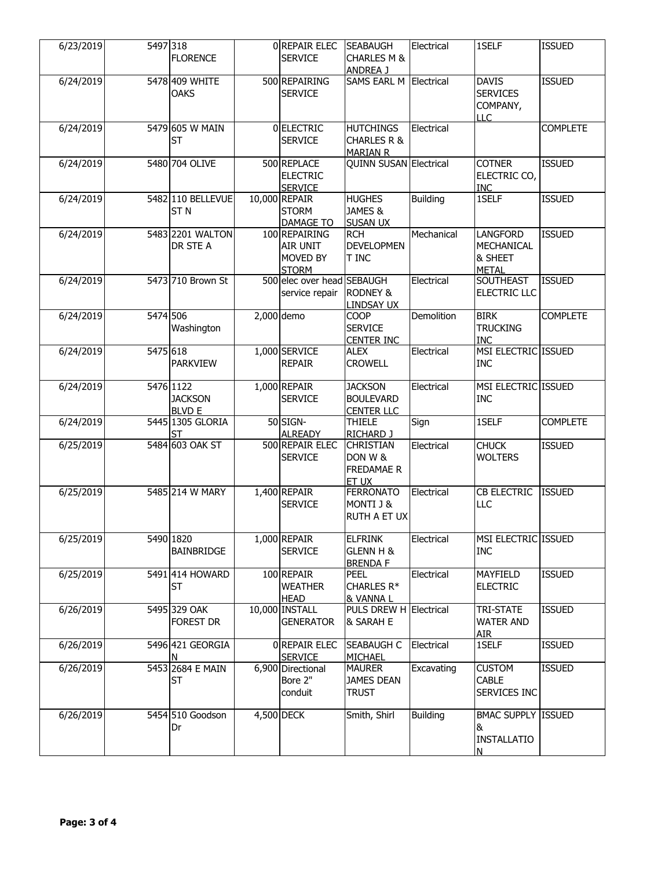| 6/23/2019 | 5497 318 | <b>FLORENCE</b>                              | 0 REPAIR ELEC<br><b>SERVICE</b>                       | <b>SEABAUGH</b><br><b>CHARLES M &amp;</b><br>ANDREA J         | Electrical      | 1SELF                                                     | <b>ISSUED</b>   |
|-----------|----------|----------------------------------------------|-------------------------------------------------------|---------------------------------------------------------------|-----------------|-----------------------------------------------------------|-----------------|
| 6/24/2019 |          | 5478 409 WHITE<br><b>OAKS</b>                | 500 REPAIRING<br><b>SERVICE</b>                       | SAMS EARL M Electrical                                        |                 | <b>DAVIS</b><br><b>SERVICES</b><br>COMPANY,<br>LLC.       | <b>ISSUED</b>   |
| 6/24/2019 |          | 5479 605 W MAIN<br><b>ST</b>                 | 0 ELECTRIC<br><b>SERVICE</b>                          | <b>HUTCHINGS</b><br><b>CHARLES R &amp;</b><br><b>MARIAN R</b> | Electrical      |                                                           | <b>COMPLETE</b> |
| 6/24/2019 |          | 5480 704 OLIVE                               | 500 REPLACE<br><b>ELECTRIC</b><br><b>SERVICE</b>      | QUINN SUSAN Electrical                                        |                 | <b>COTNER</b><br>ELECTRIC CO,<br><b>INC</b>               | <b>ISSUED</b>   |
| 6/24/2019 |          | 5482 110 BELLEVUE<br>ST <sub>N</sub>         | 10,000 REPAIR<br><b>STORM</b><br>DAMAGE TO            | <b>HUGHES</b><br>JAMES &<br><b>SUSAN UX</b>                   | Building        | 1SELF                                                     | <b>ISSUED</b>   |
| 6/24/2019 |          | 5483 2201 WALTON<br>DR STE A                 | 100 REPAIRING<br>AIR UNIT<br>MOVED BY<br><b>STORM</b> | <b>RCH</b><br><b>DEVELOPMEN</b><br><b>T INC</b>               | Mechanical      | <b>LANGFORD</b><br>MECHANICAL<br>& SHEET<br><b>METAL</b>  | <b>ISSUED</b>   |
| 6/24/2019 |          | 5473 710 Brown St                            | 500 elec over head SEBAUGH<br>service repair          | <b>RODNEY &amp;</b><br><b>LINDSAY UX</b>                      | Electrical      | SOUTHEAST<br>ELECTRIC LLC                                 | <b>ISSUED</b>   |
| 6/24/2019 | 5474 506 | Washington                                   | 2,000 demo                                            | <b>COOP</b><br><b>SERVICE</b><br><b>CENTER INC</b>            | Demolition      | <b>BIRK</b><br><b>TRUCKING</b><br><b>INC</b>              | <b>COMPLETE</b> |
| 6/24/2019 | 5475 618 | <b>PARKVIEW</b>                              | 1,000 SERVICE<br><b>REPAIR</b>                        | <b>ALEX</b><br><b>CROWELL</b>                                 | Electrical      | MSI ELECTRIC ISSUED<br><b>INC</b>                         |                 |
| 6/24/2019 |          | 5476 1122<br><b>JACKSON</b><br><b>BLVD E</b> | $1,000$ REPAIR<br><b>SERVICE</b>                      | <b>JACKSON</b><br><b>BOULEVARD</b><br><b>CENTER LLC</b>       | Electrical      | MSI ELECTRIC ISSUED<br><b>INC</b>                         |                 |
| 6/24/2019 |          | 5445 1305 GLORIA<br>ST                       | 50 SIGN-<br><b>ALREADY</b>                            | <b>THIELE</b><br>RICHARD J                                    | Sign            | 1SELF                                                     | <b>COMPLETE</b> |
| 6/25/2019 |          | 5484 603 OAK ST                              | 500 REPAIR ELEC<br><b>SERVICE</b>                     | <b>CHRISTIAN</b><br>DON W &<br><b>FREDAMAE R</b><br>ET UX     | Electrical      | <b>CHUCK</b><br><b>WOLTERS</b>                            | <b>ISSUED</b>   |
| 6/25/2019 |          | 5485 214 W MARY                              | $1,400$ REPAIR<br><b>SERVICE</b>                      | <b>FERRONATO</b><br>MONTI J &<br><b>RUTH A ET UX</b>          | Electrical      | CB ELECTRIC<br>LLC                                        | <b>ISSUED</b>   |
| 6/25/2019 |          | 5490 1820<br>BAINBRIDGE                      | $1,000$ REPAIR<br><b>SERVICE</b>                      | <b>ELFRINK</b><br><b>GLENN H &amp;</b><br><b>BRENDA F</b>     | Electrical      | MSI ELECTRIC ISSUED<br><b>INC</b>                         |                 |
| 6/25/2019 |          | 5491 414 HOWARD<br>ST                        | 100 REPAIR<br><b>WEATHER</b><br><b>HEAD</b>           | PEEL<br>CHARLES R*<br>& VANNA L                               | Electrical      | MAYFIELD<br><b>ELECTRIC</b>                               | <b>ISSUED</b>   |
| 6/26/2019 |          | 5495 329 OAK<br>FOREST DR                    | 10,000 INSTALL<br><b>GENERATOR</b>                    | PULS DREW H Electrical<br>& SARAH E                           |                 | TRI-STATE<br><b>WATER AND</b><br>AIR                      | <b>ISSUED</b>   |
| 6/26/2019 |          | 5496 421 GEORGIA<br>N                        | 0 REPAIR ELEC<br><b>SERVICE</b>                       | <b>SEABAUGH C</b><br>MICHAEL                                  | Electrical      | 1SELF                                                     | <b>ISSUED</b>   |
| 6/26/2019 |          | 5453 2684 E MAIN<br><b>ST</b>                | 6,900 Directional<br>Bore 2"<br>conduit               | <b>MAURER</b><br><b>JAMES DEAN</b><br><b>TRUST</b>            | Excavating      | <b>CUSTOM</b><br><b>CABLE</b><br>SERVICES INC             | <b>ISSUED</b>   |
| 6/26/2019 |          | 5454 510 Goodson<br>Dr                       | 4,500 DECK                                            | Smith, Shirl                                                  | <b>Building</b> | <b>BMAC SUPPLY ISSUED</b><br>&<br><b>INSTALLATIO</b><br>N |                 |